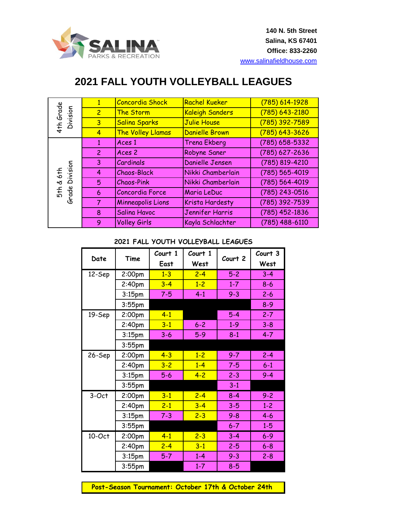

## **2021 FALL YOUTH VOLLEYBALL LEAGUES**

| 4th Grade<br>Division             | $\mathbf{1}$   | <b>Concordia Shock</b>   | Rachel Kueker          | (785) 614-1928   |
|-----------------------------------|----------------|--------------------------|------------------------|------------------|
|                                   | $\overline{2}$ | The Storm                | <b>Kaleigh Sanders</b> | (785) 643-2180   |
|                                   | $\overline{3}$ | Salina Sparks            | Julie House            | (785) 392-7589   |
|                                   | $\overline{4}$ | The Volley Llamas        | Danielle Brown         | (785) 643-3626   |
| & 6th<br>Division<br>Grade<br>5+h | 1              | Aces 1                   | <b>Trena Ekberg</b>    | $(785)$ 658-5332 |
|                                   | $\overline{2}$ | Aces 2                   | Robyne Saner           | $(785)$ 627-2636 |
|                                   | 3              | Cardinals                | Danielle Jensen        | (785) 819-4210   |
|                                   | 4              | <b>Chaos-Black</b>       | Nikki Chamberlain      | (785) 565-4019   |
|                                   | 5              | <b>Chaos-Pink</b>        | Nikki Chamberlain      | (785) 564-4019   |
|                                   | 6              | Concordia Force          | Maria LeDuc            | (785) 243-0516   |
|                                   | 7              | <b>Minneapolis Lions</b> | Krista Hardesty        | (785) 392-7539   |
|                                   | 8              | <b>Salina Havoc</b>      | Jennifer Harris        | $(785)$ 452-1836 |
|                                   | 9              | <b>Volley Girls</b>      | Kayla Schlachter       | (785) 488-6110   |

## **2021 FALL YOUTH VOLLEYBALL LEAGUES**

| Date<br>Time |                    | Court 1<br>East | Court 1<br>West | Court 2 | Court 3<br>West |
|--------------|--------------------|-----------------|-----------------|---------|-----------------|
| 12-Sep       | 2:00pm             | $1 - 3$         | $2 - 4$         | $5-2$   | $3 - 4$         |
|              | 2:40 <sub>pm</sub> | $3 - 4$         | $1 - 2$         | $1 - 7$ | $8 - 6$         |
|              | 3:15 <sub>pm</sub> | $7 - 5$         | $4 - 1$         | $9 - 3$ | $2 - 6$         |
|              | $3:55$ pm          |                 |                 |         | $8 - 9$         |
| 19-Sep       | 2:00pm             | $4 - 1$         |                 | $5-4$   | $2 - 7$         |
|              | 2:40pm             | $3 - 1$         | $6 - 2$         | $1 - 9$ | $3 - 8$         |
|              | 3:15 <sub>pm</sub> | $3-6$           | $5-9$           | $8 - 1$ | $4 - 7$         |
|              | $3:55$ pm          |                 |                 |         |                 |
| 26-Sep       | 2:00pm             | $4 - 3$         | $1 - 2$         | $9 - 7$ | $2 - 4$         |
|              | 2:40 <sub>pm</sub> | $3 - 2$         | $1-4$           | $7 - 5$ | $6 - 1$         |
|              | 3:15 <sub>pm</sub> | $5-6$           | $4 - 2$         | $2 - 3$ | $9 - 4$         |
|              | $3:55$ pm          |                 |                 | $3-1$   |                 |
| 3-Oct        | 2:00pm             | $3 - 1$         | $2 - 4$         | $8 - 4$ | $9 - 2$         |
|              | 2:40pm             | $2 - 1$         | $3 - 4$         | $3 - 5$ | $1 - 2$         |
|              | 3:15 <sub>pm</sub> | $7 - 3$         | $2 - 3$         | $9 - 8$ | $4 - 6$         |
|              | $3:55$ pm          |                 |                 | $6 - 7$ | $1 - 5$         |
| 10-Oct       | 2:00pm             | $4 - 1$         | $2 - 3$         | $3 - 4$ | $6 - 9$         |
|              | 2:40 <sub>pm</sub> | $2 - 4$         | $3 - 1$         | $2 - 5$ | $6 - 8$         |
|              | 3:15pm             | $5 - 7$         | $1 - 4$         | $9 - 3$ | $2 - 8$         |
|              | $3:55$ pm          |                 | $1 - 7$         | $8 - 5$ |                 |